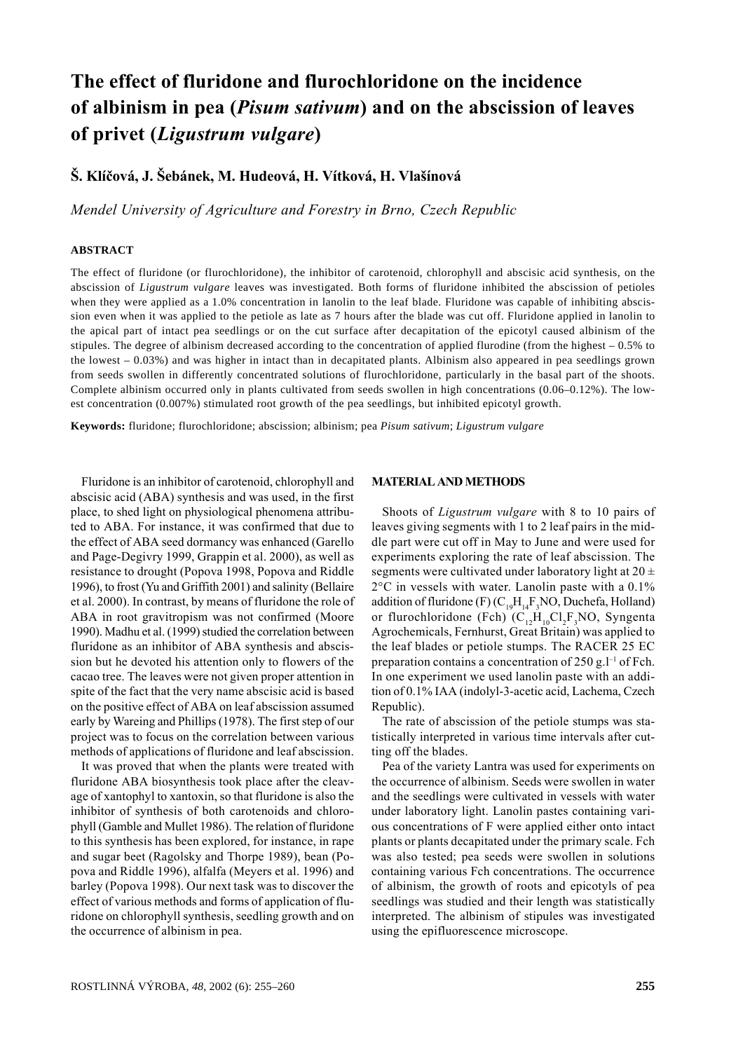# **The effect of fluridone and flurochloridone on the incidence of albinism in pea (***Pisum sativum***) and on the abscission of leaves of privet (***Ligustrum vulgare***)**

## **Š. Klíčová, J. Šebánek, M. Hudeová, H. Vítková, H. Vlašínová**

*Mendel University of Agriculture and Forestry in Brno, Czech Republic*

#### **ABSTRACT**

The effect of fluridone (or flurochloridone), the inhibitor of carotenoid, chlorophyll and abscisic acid synthesis, on the abscission of *Ligustrum vulgare* leaves was investigated. Both forms of fluridone inhibited the abscission of petioles when they were applied as a 1.0% concentration in lanolin to the leaf blade. Fluridone was capable of inhibiting abscission even when it was applied to the petiole as late as 7 hours after the blade was cut off. Fluridone applied in lanolin to the apical part of intact pea seedlings or on the cut surface after decapitation of the epicotyl caused albinism of the stipules. The degree of albinism decreased according to the concentration of applied flurodine (from the highest – 0.5% to the lowest – 0.03%) and was higher in intact than in decapitated plants. Albinism also appeared in pea seedlings grown from seeds swollen in differently concentrated solutions of flurochloridone, particularly in the basal part of the shoots. Complete albinism occurred only in plants cultivated from seeds swollen in high concentrations (0.06–0.12%). The lowest concentration (0.007%) stimulated root growth of the pea seedlings, but inhibited epicotyl growth.

**Keywords:** fluridone; flurochloridone; abscission; albinism; pea *Pisum sativum*; *Ligustrum vulgare*

Fluridone is an inhibitor of carotenoid, chlorophyll and abscisic acid (ABA) synthesis and was used, in the first place, to shed light on physiological phenomena attributed to ABA. For instance, it was confirmed that due to the effect of ABA seed dormancy was enhanced (Garello and Page-Degivry 1999, Grappin et al. 2000), as well as resistance to drought (Popova 1998, Popova and Riddle 1996), to frost (Yu and Griffith 2001) and salinity (Bellaire et al. 2000). In contrast, by means of fluridone the role of ABA in root gravitropism was not confirmed (Moore 1990). Madhu et al. (1999) studied the correlation between fluridone as an inhibitor of ABA synthesis and abscission but he devoted his attention only to flowers of the cacao tree. The leaves were not given proper attention in spite of the fact that the very name abscisic acid is based on the positive effect of ABA on leaf abscission assumed early by Wareing and Phillips (1978). The first step of our project was to focus on the correlation between various methods of applications of fluridone and leaf abscission.

It was proved that when the plants were treated with fluridone ABA biosynthesis took place after the cleavage of xantophyl to xantoxin, so that fluridone is also the inhibitor of synthesis of both carotenoids and chlorophyll (Gamble and Mullet 1986). The relation of fluridone to this synthesis has been explored, for instance, in rape and sugar beet (Ragolsky and Thorpe 1989), bean (Popova and Riddle 1996), alfalfa (Meyers et al. 1996) and barley (Popova 1998). Our next task was to discover the effect of various methods and forms of application of fluridone on chlorophyll synthesis, seedling growth and on the occurrence of albinism in pea.

#### **MATERIAL AND METHODS**

Shoots of *Ligustrum vulgare* with 8 to 10 pairs of leaves giving segments with 1 to 2 leaf pairs in the middle part were cut off in May to June and were used for experiments exploring the rate of leaf abscission. The segments were cultivated under laboratory light at  $20 \pm$ 2°C in vessels with water. Lanolin paste with a 0.1% addition of fluridone (F)  $(C_{19}H_{14}F_3NO, Duchefa, Holland)$ or flurochloridone (Fch)  $(C_{12}H_{10}Cl_2F_3NO,$  Syngenta Agrochemicals, Fernhurst, Great Britain) was applied to the leaf blades or petiole stumps. The RACER 25 EC preparation contains a concentration of  $250$  g.<sup>1-1</sup> of Fch. In one experiment we used lanolin paste with an addition of 0.1% IAA (indolyl-3-acetic acid, Lachema, Czech Republic).

The rate of abscission of the petiole stumps was statistically interpreted in various time intervals after cutting off the blades.

Pea of the variety Lantra was used for experiments on the occurrence of albinism. Seeds were swollen in water and the seedlings were cultivated in vessels with water under laboratory light. Lanolin pastes containing various concentrations of F were applied either onto intact plants or plants decapitated under the primary scale. Fch was also tested; pea seeds were swollen in solutions containing various Fch concentrations. The occurrence of albinism, the growth of roots and epicotyls of pea seedlings was studied and their length was statistically interpreted. The albinism of stipules was investigated using the epifluorescence microscope.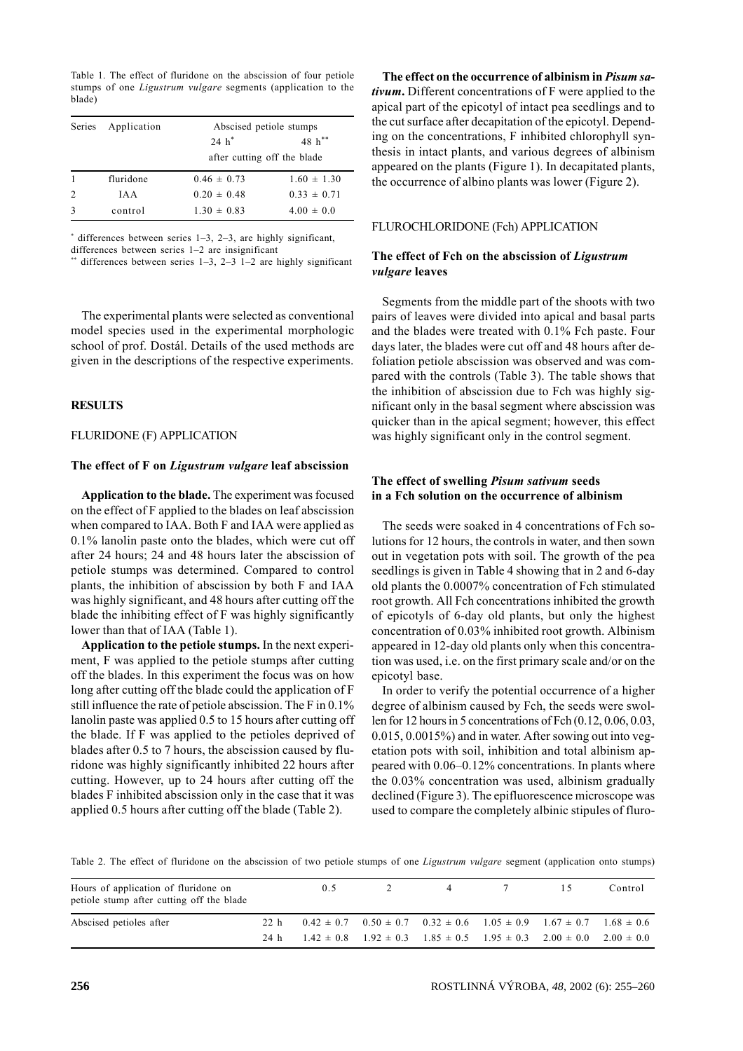Table 1. The effect of fluridone on the abscission of four petiole stumps of one *Ligustrum vulgare* segments (application to the blade)

| <b>Series</b> | Application |                 | Abscised petiole stumps     |  |  |
|---------------|-------------|-----------------|-----------------------------|--|--|
|               |             | $24 h^*$        | $48 h^{**}$                 |  |  |
|               |             |                 | after cutting off the blade |  |  |
|               | fluridone   | $0.46 \pm 0.73$ | $1.60 \pm 1.30$             |  |  |
|               | IA A        | $0.20 \pm 0.48$ | $0.33 \pm 0.71$             |  |  |
| $\mathcal{R}$ | control     | $1.30 \pm 0.83$ | $4.00 \pm 0.0$              |  |  |

\* differences between series 1–3, 2–3, are highly significant, differences between series 1–2 are insignificant

\*\* differences between series  $1-3$ ,  $2-3$   $1-2$  are highly significant

The experimental plants were selected as conventional model species used in the experimental morphologic school of prof. Dostál. Details of the used methods are given in the descriptions of the respective experiments.

#### **RESULTS**

### FLURIDONE (F) APPLICATION

#### **The effect of F on** *Ligustrum vulgare* **leaf abscission**

**Application to the blade.** The experiment was focused on the effect of F applied to the blades on leaf abscission when compared to IAA. Both F and IAA were applied as 0.1% lanolin paste onto the blades, which were cut off after 24 hours; 24 and 48 hours later the abscission of petiole stumps was determined. Compared to control plants, the inhibition of abscission by both F and IAA was highly significant, and 48 hours after cutting off the blade the inhibiting effect of F was highly significantly lower than that of IAA (Table 1).

**Application to the petiole stumps.** In the next experiment, F was applied to the petiole stumps after cutting off the blades. In this experiment the focus was on how long after cutting off the blade could the application of F still influence the rate of petiole abscission. The F in 0.1% lanolin paste was applied 0.5 to 15 hours after cutting off the blade. If F was applied to the petioles deprived of blades after 0.5 to 7 hours, the abscission caused by fluridone was highly significantly inhibited 22 hours after cutting. However, up to 24 hours after cutting off the blades F inhibited abscission only in the case that it was applied 0.5 hours after cutting off the blade (Table 2).

**The effect on the occurrence of albinism in** *Pisum sativum***.** Different concentrations of F were applied to the apical part of the epicotyl of intact pea seedlings and to the cut surface after decapitation of the epicotyl. Depending on the concentrations, F inhibited chlorophyll synthesis in intact plants, and various degrees of albinism appeared on the plants (Figure 1). In decapitated plants, the occurrence of albino plants was lower (Figure 2).

#### FLUROCHLORIDONE (Fch) APPLICATION

#### **The effect of Fch on the abscission of** *Ligustrum vulgare* **leaves**

Segments from the middle part of the shoots with two pairs of leaves were divided into apical and basal parts and the blades were treated with 0.1% Fch paste. Four days later, the blades were cut off and 48 hours after defoliation petiole abscission was observed and was compared with the controls (Table 3). The table shows that the inhibition of abscission due to Fch was highly significant only in the basal segment where abscission was quicker than in the apical segment; however, this effect was highly significant only in the control segment.

#### **The effect of swelling** *Pisum sativum* **seeds in a Fch solution on the occurrence of albinism**

The seeds were soaked in 4 concentrations of Fch solutions for 12 hours, the controls in water, and then sown out in vegetation pots with soil. The growth of the pea seedlings is given in Table 4 showing that in 2 and 6-day old plants the 0.0007% concentration of Fch stimulated root growth. All Fch concentrations inhibited the growth of epicotyls of 6-day old plants, but only the highest concentration of 0.03% inhibited root growth. Albinism appeared in 12-day old plants only when this concentration was used, i.e. on the first primary scale and/or on the epicotyl base.

In order to verify the potential occurrence of a higher degree of albinism caused by Fch, the seeds were swollen for 12 hours in 5 concentrations of Fch (0.12, 0.06, 0.03, 0.015, 0.0015%) and in water. After sowing out into vegetation pots with soil, inhibition and total albinism appeared with 0.06–0.12% concentrations. In plants where the 0.03% concentration was used, albinism gradually declined (Figure 3). The epifluorescence microscope was used to compare the completely albinic stipules of fluro-

Table 2. The effect of fluridone on the abscission of two petiole stumps of one *Ligustrum vulgare* segment (application onto stumps)

| Hours of application of fluridone on<br>petiole stump after cutting off the blade |      | 0.5                                                                                            | 4 | $\overline{\phantom{a}}$ | Control |
|-----------------------------------------------------------------------------------|------|------------------------------------------------------------------------------------------------|---|--------------------------|---------|
| Abscised petioles after                                                           |      | 22 h $0.42 \pm 0.7$ $0.50 \pm 0.7$ $0.32 \pm 0.6$ $1.05 \pm 0.9$ $1.67 \pm 0.7$ $1.68 \pm 0.6$ |   |                          |         |
|                                                                                   | 24 h | $1.42 \pm 0.8$ $1.92 \pm 0.3$ $1.85 \pm 0.5$ $1.95 \pm 0.3$ $2.00 \pm 0.0$ $2.00 \pm 0.0$      |   |                          |         |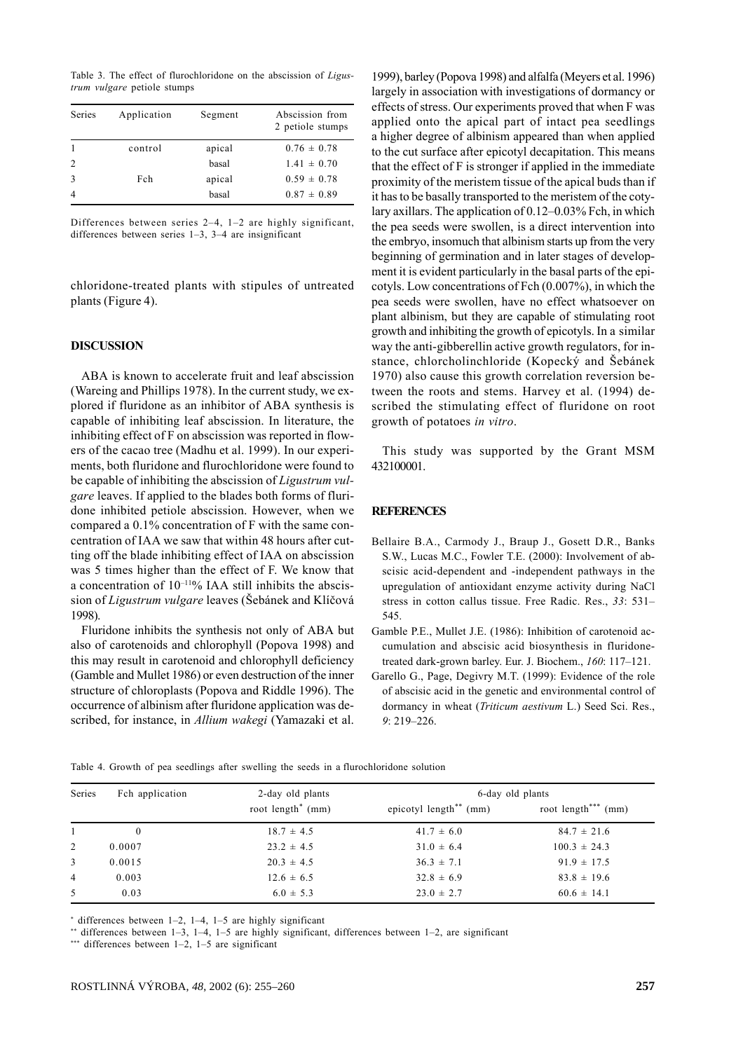Table 3. The effect of flurochloridone on the abscission of *Ligustrum vulgare* petiole stumps

| Series | Application | Segment | Abscission from<br>2 petiole stumps |
|--------|-------------|---------|-------------------------------------|
|        | control     | apical  | $0.76 \pm 0.78$                     |
|        |             | basal   | $1.41 \pm 0.70$                     |
|        | Fch         | apical  | $0.59 \pm 0.78$                     |
| 4      |             | basal   | $0.87 \pm 0.89$                     |

Differences between series 2–4, 1–2 are highly significant, differences between series 1–3, 3–4 are insignificant

chloridone-treated plants with stipules of untreated plants (Figure 4).

#### **DISCUSSION**

ABA is known to accelerate fruit and leaf abscission (Wareing and Phillips 1978). In the current study, we explored if fluridone as an inhibitor of ABA synthesis is capable of inhibiting leaf abscission. In literature, the inhibiting effect of F on abscission was reported in flowers of the cacao tree (Madhu et al. 1999). In our experiments, both fluridone and flurochloridone were found to be capable of inhibiting the abscission of *Ligustrum vulgare* leaves. If applied to the blades both forms of fluridone inhibited petiole abscission. However, when we compared a 0.1% concentration of F with the same concentration of IAA we saw that within 48 hours after cutting off the blade inhibiting effect of IAA on abscission was 5 times higher than the effect of F. We know that a concentration of  $10^{-11}\%$  IAA still inhibits the abscission of *Ligustrum vulgare* leaves (Šebánek and Klíčová 1998).

Fluridone inhibits the synthesis not only of ABA but also of carotenoids and chlorophyll (Popova 1998) and this may result in carotenoid and chlorophyll deficiency (Gamble and Mullet 1986) or even destruction of the inner structure of chloroplasts (Popova and Riddle 1996). The occurrence of albinism after fluridone application was described, for instance, in *Allium wakegi* (Yamazaki et al. 1999), barley (Popova 1998) and alfalfa (Meyers et al. 1996) largely in association with investigations of dormancy or effects of stress. Our experiments proved that when F was applied onto the apical part of intact pea seedlings a higher degree of albinism appeared than when applied to the cut surface after epicotyl decapitation. This means that the effect of F is stronger if applied in the immediate proximity of the meristem tissue of the apical buds than if it has to be basally transported to the meristem of the cotylary axillars. The application of 0.12–0.03% Fch, in which the pea seeds were swollen, is a direct intervention into the embryo, insomuch that albinism starts up from the very beginning of germination and in later stages of development it is evident particularly in the basal parts of the epicotyls. Low concentrations of Fch (0.007%), in which the pea seeds were swollen, have no effect whatsoever on plant albinism, but they are capable of stimulating root growth and inhibiting the growth of epicotyls. In a similar way the anti-gibberellin active growth regulators, for instance, chlorcholinchloride (Kopecký and Šebánek 1970) also cause this growth correlation reversion between the roots and stems. Harvey et al. (1994) described the stimulating effect of fluridone on root growth of potatoes *in vitro*.

This study was supported by the Grant MSM 432100001.

#### **REFERENCES**

- Bellaire B.A., Carmody J., Braup J., Gosett D.R., Banks S.W., Lucas M.C., Fowler T.E. (2000): Involvement of abscisic acid-dependent and -independent pathways in the upregulation of antioxidant enzyme activity during NaCl stress in cotton callus tissue. Free Radic. Res., *33*: 531– 545.
- Gamble P.E., Mullet J.E. (1986): Inhibition of carotenoid accumulation and abscisic acid biosynthesis in fluridonetreated dark-grown barley. Eur. J. Biochem., *160*: 117–121.
- Garello G., Page, Degivry M.T. (1999): Evidence of the role of abscisic acid in the genetic and environmental control of dormancy in wheat (*Triticum aestivum* L.) Seed Sci. Res., *9*: 219–226.

Table 4. Growth of pea seedlings after swelling the seeds in a flurochloridone solution

| Series         | Fch application | 2-day old plants     | 6-day old plants                     |                        |  |
|----------------|-----------------|----------------------|--------------------------------------|------------------------|--|
|                |                 | root $length^*$ (mm) | epicotyl length <sup>**</sup> $(mm)$ | root length***<br>(mm) |  |
|                | $\mathbf{0}$    | $18.7 \pm 4.5$       | $41.7 \pm 6.0$                       | $84.7 \pm 21.6$        |  |
| 2              | 0.0007          | $23.2 \pm 4.5$       | $31.0 \pm 6.4$                       | $100.3 \pm 24.3$       |  |
| $\mathbf{3}$   | 0.0015          | $20.3 \pm 4.5$       | $36.3 \pm 7.1$                       | $91.9 \pm 17.5$        |  |
| $\overline{4}$ | 0.003           | $12.6 \pm 6.5$       | $32.8 \pm 6.9$                       | $83.8 \pm 19.6$        |  |
| $\mathfrak{L}$ | 0.03            | $6.0 \pm 5.3$        | $23.0 \pm 2.7$                       | $60.6 \pm 14.1$        |  |

\* differences between 1–2, 1–4, 1–5 are highly significant

differences between 1–3, 1–4, 1–5 are highly significant, differences between 1–2, are significant

\*\*\* differences between 1-2, 1-5 are significant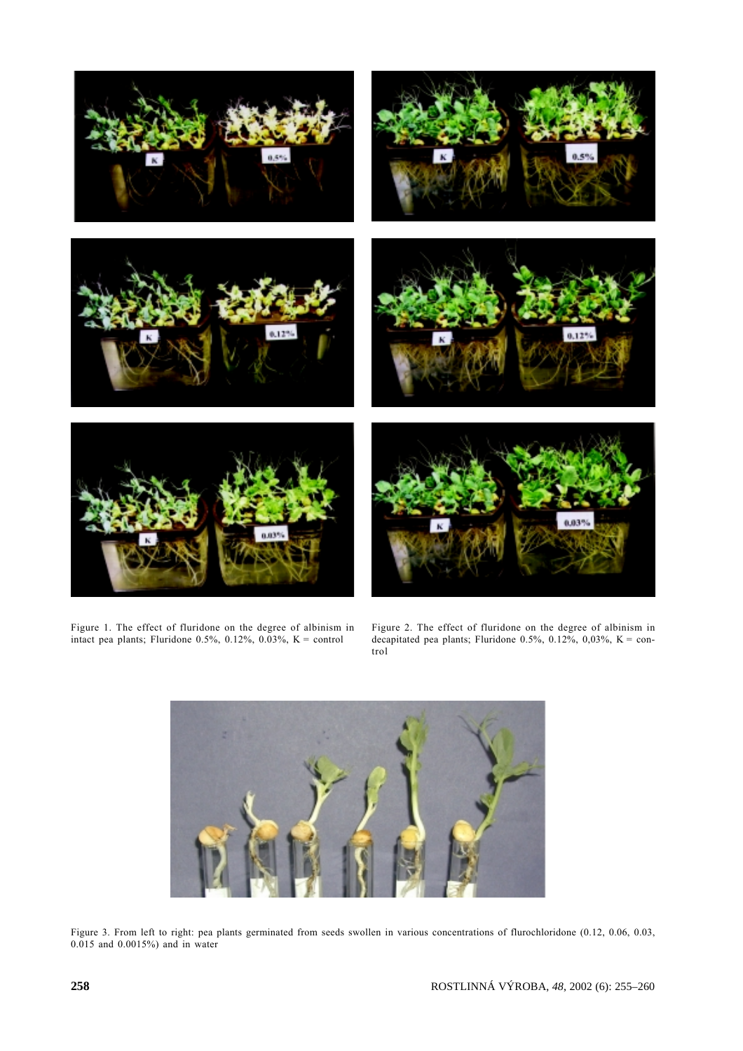

Figure 1. The effect of fluridone on the degree of albinism in intact pea plants; Fluridone  $0.5\%$ ,  $0.12\%$ ,  $0.03\%$ , K = control

Figure 2. The effect of fluridone on the degree of albinism in decapitated pea plants; Fluridone  $0.5\%$ ,  $0.12\%$ ,  $0.03\%$ , K = control



Figure 3. From left to right: pea plants germinated from seeds swollen in various concentrations of flurochloridone (0.12, 0.06, 0.03, 0.015 and 0.0015%) and in water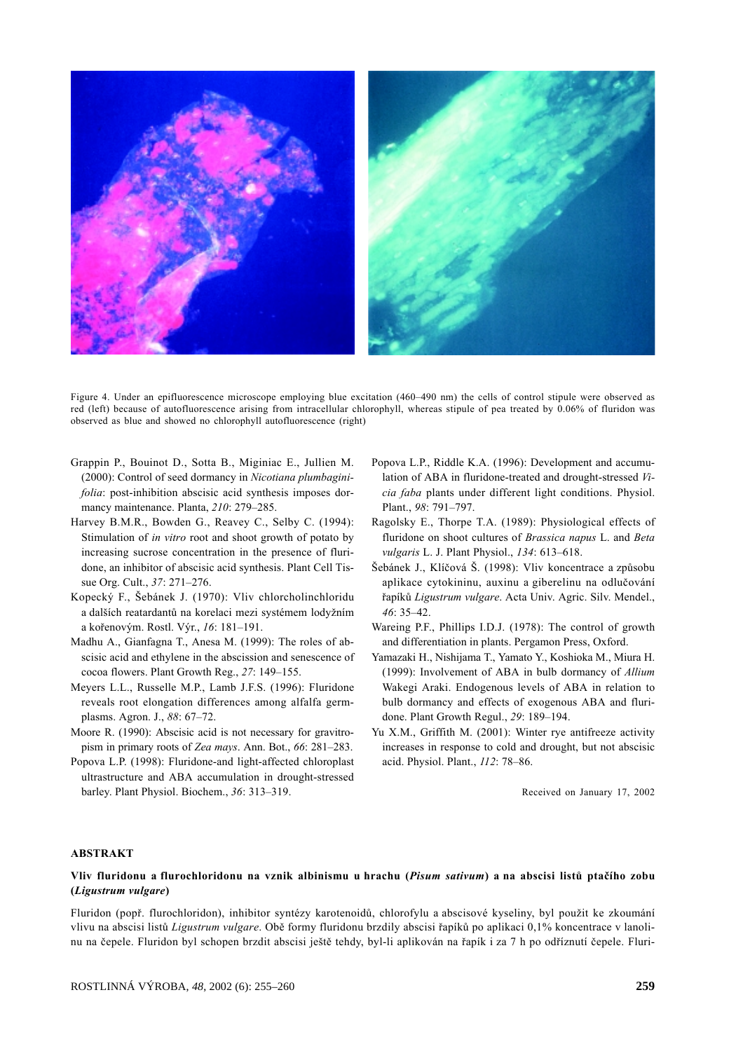

Figure 4. Under an epifluorescence microscope employing blue excitation (460–490 nm) the cells of control stipule were observed as red (left) because of autofluorescence arising from intracellular chlorophyll, whereas stipule of pea treated by 0.06% of fluridon was observed as blue and showed no chlorophyll autofluorescence (right)

- Grappin P., Bouinot D., Sotta B., Miginiac E., Jullien M. (2000): Control of seed dormancy in *Nicotiana plumbaginifolia*: post-inhibition abscisic acid synthesis imposes dormancy maintenance. Planta, *210*: 279–285.
- Harvey B.M.R., Bowden G., Reavey C., Selby C. (1994): Stimulation of *in vitro* root and shoot growth of potato by increasing sucrose concentration in the presence of fluridone, an inhibitor of abscisic acid synthesis. Plant Cell Tissue Org. Cult., *37*: 271–276.
- Kopecký F., Šebánek J. (1970): Vliv chlorcholinchloridu a dalších reatardantů na korelaci mezi systémem lodyžním a kořenovým. Rostl. Výr., *16*: 181–191.
- Madhu A., Gianfagna T., Anesa M. (1999): The roles of abscisic acid and ethylene in the abscission and senescence of cocoa flowers. Plant Growth Reg., *27*: 149–155.
- Meyers L.L., Russelle M.P., Lamb J.F.S. (1996): Fluridone reveals root elongation differences among alfalfa germplasms. Agron. J., *88*: 67–72.
- Moore R. (1990): Abscisic acid is not necessary for gravitropism in primary roots of *Zea mays*. Ann. Bot., *66*: 281–283.
- Popova L.P. (1998): Fluridone-and light-affected chloroplast ultrastructure and ABA accumulation in drought-stressed barley. Plant Physiol. Biochem., *36*: 313–319.
- Popova L.P., Riddle K.A. (1996): Development and accumulation of ABA in fluridone-treated and drought-stressed *Vicia faba* plants under different light conditions. Physiol. Plant., *98*: 791–797.
- Ragolsky E., Thorpe T.A. (1989): Physiological effects of fluridone on shoot cultures of *Brassica napus* L. and *Beta vulgaris* L. J. Plant Physiol., *134*: 613–618.
- Šebánek J., Klíčová Š. (1998): Vliv koncentrace a způsobu aplikace cytokininu, auxinu a giberelinu na odlučování řapíků *Ligustrum vulgare*. Acta Univ. Agric. Silv. Mendel., *46*: 35–42.
- Wareing P.F., Phillips I.D.J. (1978): The control of growth and differentiation in plants. Pergamon Press, Oxford.
- Yamazaki H., Nishijama T., Yamato Y., Koshioka M., Miura H. (1999): Involvement of ABA in bulb dormancy of *Allium* Wakegi Araki. Endogenous levels of ABA in relation to bulb dormancy and effects of exogenous ABA and fluridone. Plant Growth Regul., *29*: 189–194.
- Yu X.M., Griffith M. (2001): Winter rye antifreeze activity increases in response to cold and drought, but not abscisic acid. Physiol. Plant., *112*: 78–86.

Received on January 17, 2002

#### **ABSTRAKT**

#### **Vliv fluridonu a flurochloridonu na vznik albinismu u hrachu (***Pisum sativum***) a na abscisi listů ptačího zobu (***Ligustrum vulgare***)**

Fluridon (popř. flurochloridon), inhibitor syntézy karotenoidů, chlorofylu a abscisové kyseliny, byl použit ke zkoumání vlivu na abscisi listů *Ligustrum vulgare*. Obě formy fluridonu brzdily abscisi řapíků po aplikaci 0,1% koncentrace v lanolinu na čepele. Fluridon byl schopen brzdit abscisi ještě tehdy, byl-li aplikován na řapík i za 7 h po odříznutí čepele. Fluri-